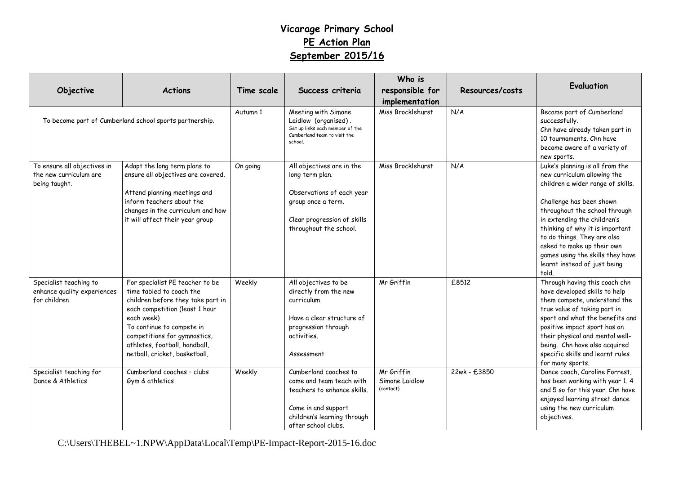## **Vicarage Primary School PE Action Plan September 2015/16**

| Objective                                                              | <b>Actions</b>                                                                                                                                                                                                                                                                  | Time scale | Success criteria                                                                                                                                              | Who is<br>responsible for<br>implementation | Resources/costs | Evaluation                                                                                                                                                                                                                                                                                                                                                                   |
|------------------------------------------------------------------------|---------------------------------------------------------------------------------------------------------------------------------------------------------------------------------------------------------------------------------------------------------------------------------|------------|---------------------------------------------------------------------------------------------------------------------------------------------------------------|---------------------------------------------|-----------------|------------------------------------------------------------------------------------------------------------------------------------------------------------------------------------------------------------------------------------------------------------------------------------------------------------------------------------------------------------------------------|
| To become part of Cumberland school sports partnership.                |                                                                                                                                                                                                                                                                                 | Autumn 1   | Meeting with Simone<br>Laidlow (organised).<br>Set up links each member of the<br>Cumberland team to visit the<br>school.                                     | Miss Brocklehurst                           | N/A             | Became part of Cumberland<br>successfully.<br>Chn have already taken part in<br>10 tournaments. Chn have<br>become aware of a variety of<br>new sports.                                                                                                                                                                                                                      |
| To ensure all objectives in<br>the new curriculum are<br>being taught. | Adapt the long term plans to<br>ensure all objectives are covered.<br>Attend planning meetings and<br>inform teachers about the<br>changes in the curriculum and how<br>it will affect their year group                                                                         | On going   | All objectives are in the<br>long term plan.<br>Observations of each year<br>group once a term.<br>Clear progression of skills<br>throughout the school.      | Miss Brocklehurst                           | N/A             | Luke's planning is all from the<br>new curriculum allowing the<br>children a wider range of skills.<br>Challenge has been shown<br>throughout the school through<br>in extending the children's<br>thinking of why it is important<br>to do things. They are also<br>asked to make up their own<br>games using the skills they have<br>learnt instead of just being<br>told. |
| Specialist teaching to<br>enhance quality experiences<br>for children  | For specialist PE teacher to be<br>time tabled to coach the<br>children before they take part in<br>each competition (least 1 hour<br>each week)<br>To continue to compete in<br>competitions for gymnastics,<br>athletes, football, handball,<br>netball, cricket, basketball, | Weekly     | All objectives to be<br>directly from the new<br>curriculum.<br>Have a clear structure of<br>progression through<br>activities.<br>Assessment                 | Mr Griffin                                  | £8512           | Through having this coach chn<br>have developed skills to help<br>them compete, understand the<br>true value of taking part in<br>sport and what the benefits and<br>positive impact sport has on<br>their physical and mental well-<br>being. Chn have also acquired<br>specific skills and learnt rules<br>for many sports.                                                |
| Specialist teaching for<br>Dance & Athletics                           | Cumberland coaches - clubs<br>Gym & athletics                                                                                                                                                                                                                                   | Weekly     | Cumberland coaches to<br>come and team teach with<br>teachers to enhance skills.<br>Come in and support<br>children's learning through<br>after school clubs. | Mr Griffin<br>Simone Laidlow<br>(contact)   | 22wk - £3850    | Dance coach, Caroline Forrest,<br>has been working with year 1.4<br>and 5 so far this year. Chn have<br>enjoyed learning street dance<br>using the new curriculum<br>objectives.                                                                                                                                                                                             |

C:\Users\THEBEL~1.NPW\AppData\Local\Temp\PE-Impact-Report-2015-16.doc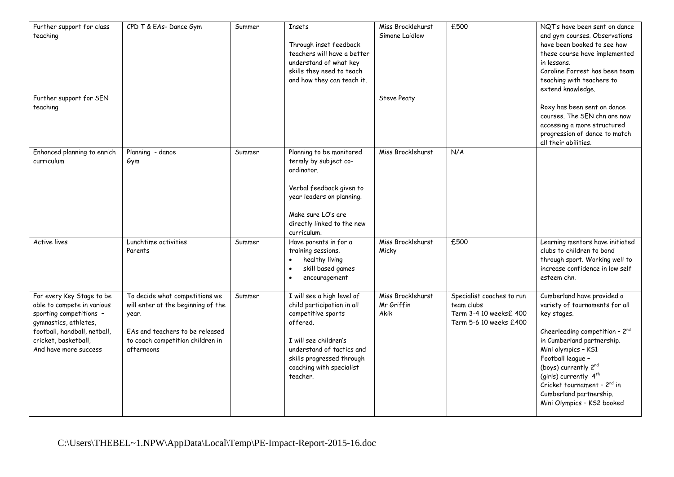| Further support for class<br>teaching<br>Further support for SEN<br>teaching                                                                                                                 | CPD T & EAs- Dance Gym                                                                                                                                             | Summer | <b>Insets</b><br>Through inset feedback<br>teachers will have a better<br>understand of what key<br>skills they need to teach<br>and how they can teach it.                                                           | Miss Brocklehurst<br>Simone Laidlow<br><b>Steve Peaty</b> | £500                                                                                         | NQT's have been sent on dance<br>and gym courses. Observations<br>have been booked to see how<br>these course have implemented<br>in lessons.<br>Caroline Forrest has been team<br>teaching with teachers to<br>extend knowledge.<br>Roxy has been sent on dance<br>courses. The SEN chn are now<br>accessing a more structured<br>progression of dance to match<br>all their abilities. |
|----------------------------------------------------------------------------------------------------------------------------------------------------------------------------------------------|--------------------------------------------------------------------------------------------------------------------------------------------------------------------|--------|-----------------------------------------------------------------------------------------------------------------------------------------------------------------------------------------------------------------------|-----------------------------------------------------------|----------------------------------------------------------------------------------------------|------------------------------------------------------------------------------------------------------------------------------------------------------------------------------------------------------------------------------------------------------------------------------------------------------------------------------------------------------------------------------------------|
| Enhanced planning to enrich<br>curriculum                                                                                                                                                    | Planning - dance<br>Gym                                                                                                                                            | Summer | Planning to be monitored<br>termly by subject co-<br>ordinator.<br>Verbal feedback given to<br>year leaders on planning.<br>Make sure LO's are<br>directly linked to the new<br>curriculum.                           | Miss Brocklehurst                                         | N/A                                                                                          |                                                                                                                                                                                                                                                                                                                                                                                          |
| <b>Active lives</b>                                                                                                                                                                          | Lunchtime activities<br>Parents                                                                                                                                    | Summer | Have parents in for a<br>training sessions.<br>healthy living<br>skill based games<br>encouragement                                                                                                                   | Miss Brocklehurst<br>Micky                                | £500                                                                                         | Learning mentors have initiated<br>clubs to children to bond<br>through sport. Working well to<br>increase confidence in low self<br>esteem chn.                                                                                                                                                                                                                                         |
| For every Key Stage to be<br>able to compete in various<br>sporting competitions -<br>gymnastics, athletes,<br>football, handball, netball,<br>cricket, basketball,<br>And have more success | To decide what competitions we<br>will enter at the beginning of the<br>year.<br>EAs and teachers to be released<br>to coach competition children in<br>afternoons | Summer | I will see a high level of<br>child participation in all<br>competitive sports<br>offered.<br>I will see children's<br>understand of tactics and<br>skills progressed through<br>coaching with specialist<br>teacher. | Miss Brocklehurst<br>Mr Griffin<br>Akik                   | Specialist coaches to run<br>team clubs<br>Term 3-4 10 weeksf. 400<br>Term 5-6 10 weeks £400 | Cumberland have provided a<br>variety of tournaments for all<br>key stages.<br>Cheerleading competition - 2nd<br>in Cumberland partnership.<br>Mini olympics - KS1<br>Football league -<br>(boys) currently 2nd<br>(girls) currently 4 <sup>th</sup><br>Cricket tournament - 2 <sup>nd</sup> in<br>Cumberland partnership.<br>Mini Olympics - KS2 booked                                 |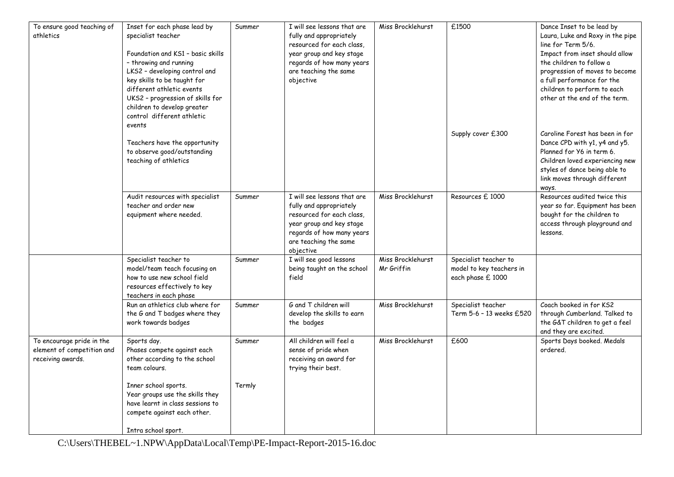| To ensure good teaching of<br>athletics                                      | Inset for each phase lead by<br>specialist teacher<br>Foundation and KS1 - basic skills<br>- throwing and running<br>LKS2 - developing control and<br>key skills to be taught for<br>different athletic events<br>UKS2 - progression of skills for<br>children to develop greater<br>control different athletic | Summer | I will see lessons that are<br>fully and appropriately<br>resourced for each class,<br>year group and key stage<br>regards of how many years<br>are teaching the same<br>objective | Miss Brocklehurst               | £1500                                                                  | Dance Inset to be lead by<br>Laura, Luke and Roxy in the pipe<br>line for Term 5/6.<br>Impact from inset should allow<br>the children to follow a<br>progression of moves to become<br>a full performance for the<br>children to perform to each<br>other at the end of the term. |
|------------------------------------------------------------------------------|-----------------------------------------------------------------------------------------------------------------------------------------------------------------------------------------------------------------------------------------------------------------------------------------------------------------|--------|------------------------------------------------------------------------------------------------------------------------------------------------------------------------------------|---------------------------------|------------------------------------------------------------------------|-----------------------------------------------------------------------------------------------------------------------------------------------------------------------------------------------------------------------------------------------------------------------------------|
|                                                                              | events<br>Teachers have the opportunity<br>to observe good/outstanding<br>teaching of athletics                                                                                                                                                                                                                 |        |                                                                                                                                                                                    |                                 | Supply cover £300                                                      | Caroline Forest has been in for<br>Dance CPD with y1, y4 and y5.<br>Planned for Y6 in term 6.<br>Children loved experiencing new<br>styles of dance being able to<br>link moves through different<br>ways.                                                                        |
|                                                                              | Audit resources with specialist<br>teacher and order new<br>equipment where needed.                                                                                                                                                                                                                             | Summer | I will see lessons that are<br>fully and appropriately<br>resourced for each class,<br>year group and key stage<br>regards of how many years<br>are teaching the same<br>objective | Miss Brocklehurst               | Resources f. 1000                                                      | Resources audited twice this<br>year so far. Equipment has been<br>bought for the children to<br>access through playground and<br>lessons.                                                                                                                                        |
|                                                                              | Specialist teacher to<br>model/team teach focusing on<br>how to use new school field<br>resources effectively to key<br>teachers in each phase                                                                                                                                                                  | Summer | I will see good lessons<br>being taught on the school<br>field                                                                                                                     | Miss Brocklehurst<br>Mr Griffin | Specialist teacher to<br>model to key teachers in<br>each phase £ 1000 |                                                                                                                                                                                                                                                                                   |
|                                                                              | Run an athletics club where for<br>the G and T badges where they<br>work towards badges                                                                                                                                                                                                                         | Summer | G and T children will<br>develop the skills to earn<br>the badges                                                                                                                  | Miss Brocklehurst               | Specialist teacher<br>Term 5-6 - 13 weeks £520                         | Coach booked in for KS2<br>through Cumberland. Talked to<br>the G&T children to get a feel<br>and they are excited.                                                                                                                                                               |
| To encourage pride in the<br>element of competition and<br>receiving awards. | Sports day.<br>Phases compete against each<br>other according to the school<br>team colours.                                                                                                                                                                                                                    | Summer | All children will feel a<br>sense of pride when<br>receiving an award for<br>trying their best.                                                                                    | Miss Brocklehurst               | £600                                                                   | Sports Days booked. Medals<br>ordered.                                                                                                                                                                                                                                            |
|                                                                              | Inner school sports.<br>Year groups use the skills they<br>have learnt in class sessions to<br>compete against each other.                                                                                                                                                                                      | Termly |                                                                                                                                                                                    |                                 |                                                                        |                                                                                                                                                                                                                                                                                   |
|                                                                              | Intra school sport.                                                                                                                                                                                                                                                                                             |        |                                                                                                                                                                                    |                                 |                                                                        |                                                                                                                                                                                                                                                                                   |

C:\Users\THEBEL~1.NPW\AppData\Local\Temp\PE-Impact-Report-2015-16.doc